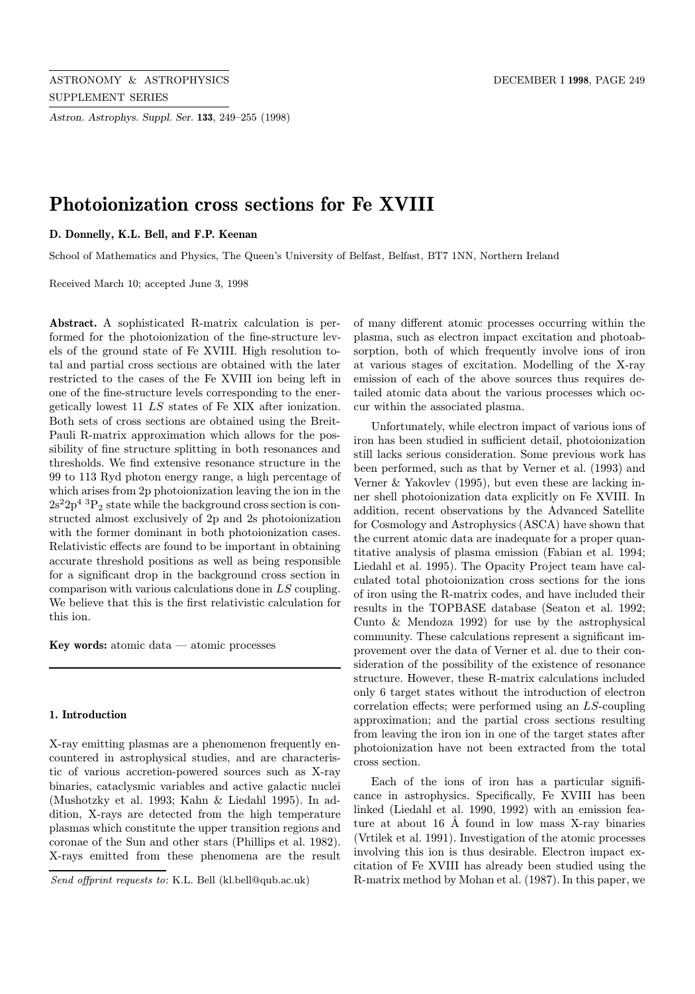Astron. Astrophys. Suppl. Ser. 133, 249–255 (1998)

# Photoionization cross sections for Fe XVIII

D. Donnelly, K.L. Bell, and F.P. Keenan

School of Mathematics and Physics, The Queen's University of Belfast, Belfast, BT7 1NN, Northern Ireland

Received March 10; accepted June 3, 1998

Abstract. A sophisticated R-matrix calculation is performed for the photoionization of the fine-structure levels of the ground state of Fe XVIII. High resolution total and partial cross sections are obtained with the later restricted to the cases of the Fe XVIII ion being left in one of the fine-structure levels corresponding to the energetically lowest 11 LS states of Fe XIX after ionization. Both sets of cross sections are obtained using the Breit-Pauli R-matrix approximation which allows for the possibility of fine structure splitting in both resonances and thresholds. We find extensive resonance structure in the 99 to 113 Ryd photon energy range, a high percentage of which arises from 2p photoionization leaving the ion in the  $2s^22p^4$ <sup>3</sup> $P_2$  state while the background cross section is constructed almost exclusively of 2p and 2s photoionization with the former dominant in both photoionization cases. Relativistic effects are found to be important in obtaining accurate threshold positions as well as being responsible for a significant drop in the background cross section in comparison with various calculations done in LS coupling. We believe that this is the first relativistic calculation for this ion.

Key words: atomic data — atomic processes

## 1. Introduction

X-ray emitting plasmas are a phenomenon frequently encountered in astrophysical studies, and are characteristic of various accretion-powered sources such as X-ray binaries, cataclysmic variables and active galactic nuclei (Mushotzky et al. 1993; Kahn & Liedahl 1995). In addition, X-rays are detected from the high temperature plasmas which constitute the upper transition regions and coronae of the Sun and other stars (Phillips et al. 1982). X-rays emitted from these phenomena are the result

of many different atomic processes occurring within the plasma, such as electron impact excitation and photoabsorption, both of which frequently involve ions of iron at various stages of excitation. Modelling of the X-ray emission of each of the above sources thus requires detailed atomic data about the various processes which occur within the associated plasma.

Unfortunately, while electron impact of various ions of iron has been studied in sufficient detail, photoionization still lacks serious consideration. Some previous work has been performed, such as that by Verner et al. (1993) and Verner & Yakovlev (1995), but even these are lacking inner shell photoionization data explicitly on Fe XVIII. In addition, recent observations by the Advanced Satellite for Cosmology and Astrophysics (ASCA) have shown that the current atomic data are inadequate for a proper quantitative analysis of plasma emission (Fabian et al. 1994; Liedahl et al. 1995). The Opacity Project team have calculated total photoionization cross sections for the ions of iron using the R-matrix codes, and have included their results in the TOPBASE database (Seaton et al. 1992; Cunto & Mendoza 1992) for use by the astrophysical community. These calculations represent a significant improvement over the data of Verner et al. due to their consideration of the possibility of the existence of resonance structure. However, these R-matrix calculations included only 6 target states without the introduction of electron correlation effects; were performed using an LS-coupling approximation; and the partial cross sections resulting from leaving the iron ion in one of the target states after photoionization have not been extracted from the total cross section.

Each of the ions of iron has a particular significance in astrophysics. Specifically, Fe XVIII has been linked (Liedahl et al. 1990, 1992) with an emission feature at about  $16$  Å found in low mass X-ray binaries (Vrtilek et al. 1991). Investigation of the atomic processes involving this ion is thus desirable. Electron impact excitation of Fe XVIII has already been studied using the R-matrix method by Mohan et al. (1987). In this paper, we

Send offprint requests to: K.L. Bell (kl.bell@qub.ac.uk)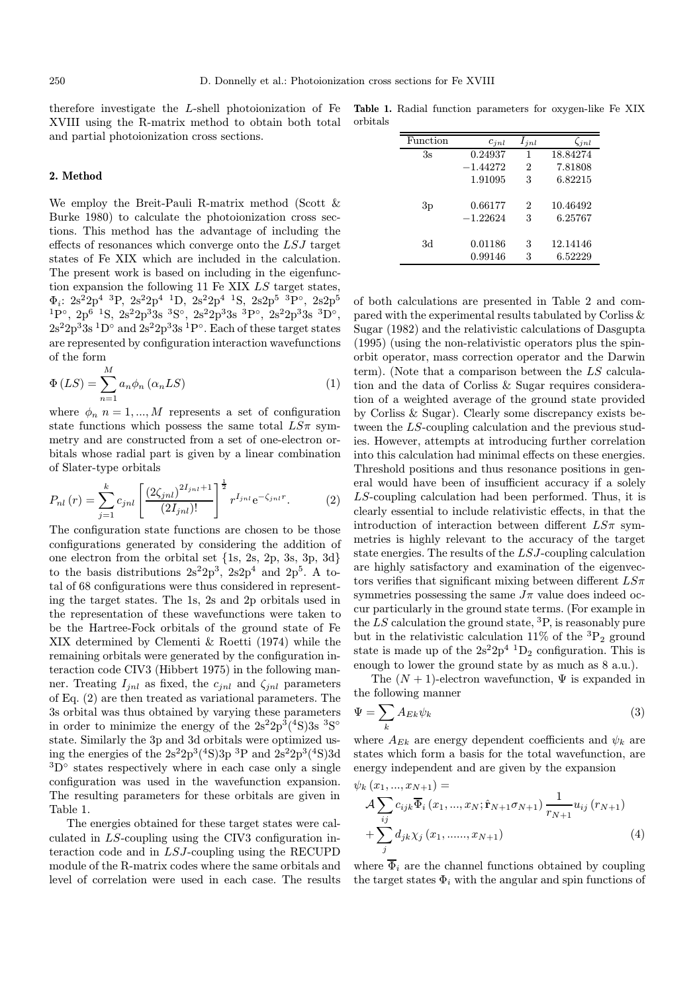therefore investigate the L-shell photoionization of Fe XVIII using the R-matrix method to obtain both total and partial photoionization cross sections.

## 2. Method

We employ the Breit-Pauli R-matrix method (Scott & Burke 1980) to calculate the photoionization cross sections. This method has the advantage of including the effects of resonances which converge onto the LSJ target states of Fe XIX which are included in the calculation. The present work is based on including in the eigenfunction expansion the following 11 Fe XIX LS target states,  $\Phi_i$ : 2s<sup>2</sup>2p<sup>4</sup> <sup>3</sup>P, 2s<sup>2</sup>2p<sup>4</sup> <sup>1</sup>D, 2s<sup>2</sup>2p<sup>4</sup> <sup>1</sup>S, 2s2p<sup>5</sup> <sup>3</sup>P<sup>°</sup>, 2s2p<sup>5</sup>  $1P°$ ,  $2p^6$   $1S$ ,  $2s^22p^33s$   $3S°$ ,  $2s^22p^33s$   $3P°$ ,  $2s^22p^33s$   $3D°$ ,  $2s^22p^33s^1D^{\circ}$  and  $2s^22p^33s^1P^{\circ}$ . Each of these target states are represented by configuration interaction wavefunctions of the form

$$
\Phi(LS) = \sum_{n=1}^{M} a_n \phi_n \left(\alpha_n LS\right) \tag{1}
$$

where  $\phi_n$  n = 1, ..., M represents a set of configuration state functions which possess the same total  $LS\pi$  symmetry and are constructed from a set of one-electron orbitals whose radial part is given by a linear combination of Slater-type orbitals

$$
P_{nl}(r) = \sum_{j=1}^{k} c_{jnl} \left[ \frac{\left(2\zeta_{jnl}\right)^{2I_{jnl}+1}}{(2I_{jnl})!} \right]^{\frac{1}{2}} r^{I_{jnl}} e^{-\zeta_{jnl}r}.
$$
 (2)

The configuration state functions are chosen to be those configurations generated by considering the addition of one electron from the orbital set {1s, 2s, 2p, 3s, 3p, 3d} to the basis distributions  $2s^22p^3$ ,  $2s2p^4$  and  $2p^5$ . A total of 68 configurations were thus considered in representing the target states. The 1s, 2s and 2p orbitals used in the representation of these wavefunctions were taken to be the Hartree-Fock orbitals of the ground state of Fe XIX determined by Clementi & Roetti (1974) while the remaining orbitals were generated by the configuration interaction code CIV3 (Hibbert 1975) in the following manner. Treating  $I_{jnl}$  as fixed, the  $c_{jnl}$  and  $\zeta_{jnl}$  parameters of Eq. (2) are then treated as variational parameters. The 3s orbital was thus obtained by varying these parameters in order to minimize the energy of the  $2s^22p^3(^4S)3s^3S°$ state. Similarly the 3p and 3d orbitals were optimized using the energies of the  $2s^22p^3(^4S)3p^3P$  and  $2s^22p^3(^4S)3d$  ${}^{3}D^{\circ}$  states respectively where in each case only a single configuration was used in the wavefunction expansion. The resulting parameters for these orbitals are given in Table 1.

The energies obtained for these target states were calculated in LS-coupling using the CIV3 configuration interaction code and in LSJ-coupling using the RECUPD module of the R-matrix codes where the same orbitals and level of correlation were used in each case. The results

Table 1. Radial function parameters for oxygen-like Fe XIX orbitals

| Function | $c_{inl}$  | $l_{inl}$ | $\zeta_{inl}$ |
|----------|------------|-----------|---------------|
| 3s       | 0.24937    | 1         | 18.84274      |
|          | $-1.44272$ | 2         | 7.81808       |
|          | 1.91095    | 3         | 6.82215       |
|          |            |           |               |
| 3p       | 0.66177    | 2         | 10.46492      |
|          | $-1.22624$ | 3         | 6.25767       |
|          |            |           |               |
| 3d       | 0.01186    | 3         | 12.14146      |
|          | 0.99146    | 3         | 6.52229       |

of both calculations are presented in Table 2 and compared with the experimental results tabulated by Corliss & Sugar (1982) and the relativistic calculations of Dasgupta (1995) (using the non-relativistic operators plus the spinorbit operator, mass correction operator and the Darwin term). (Note that a comparison between the LS calculation and the data of Corliss & Sugar requires consideration of a weighted average of the ground state provided by Corliss & Sugar). Clearly some discrepancy exists between the LS-coupling calculation and the previous studies. However, attempts at introducing further correlation into this calculation had minimal effects on these energies. Threshold positions and thus resonance positions in general would have been of insufficient accuracy if a solely LS-coupling calculation had been performed. Thus, it is clearly essential to include relativistic effects, in that the introduction of interaction between different  $LS\pi$  symmetries is highly relevant to the accuracy of the target state energies. The results of the LSJ-coupling calculation are highly satisfactory and examination of the eigenvectors verifies that significant mixing between different  $LS\pi$ symmetries possessing the same  $J\pi$  value does indeed occur particularly in the ground state terms. (For example in the  $LS$  calculation the ground state,  ${}^{3}P$ , is reasonably pure but in the relativistic calculation 11% of the  ${}^{3}P_{2}$  ground state is made up of the  $2s^22p^4$  <sup>1</sup>D<sub>2</sub> configuration. This is enough to lower the ground state by as much as 8 a.u.).

The  $(N + 1)$ -electron wavefunction,  $\Psi$  is expanded in the following manner

$$
\Psi = \sum_{k} A_{Ek} \psi_k \tag{3}
$$

where  $A_{Ek}$  are energy dependent coefficients and  $\psi_k$  are states which form a basis for the total wavefunction, are energy independent and are given by the expansion

 $\psi_k(x_1, ..., x_{N+1}) =$ 

$$
\mathcal{A} \sum_{ij} c_{ijk} \overline{\Phi}_i (x_1, ..., x_N; \hat{\mathbf{r}}_{N+1} \sigma_{N+1}) \frac{1}{r_{N+1}} u_{ij} (r_{N+1}) + \sum_j d_{jk} \chi_j (x_1, ..., x_{N+1})
$$
\n(4)

where  $\overline{\Phi}_i$  are the channel functions obtained by coupling the target states  $\Phi_i$  with the angular and spin functions of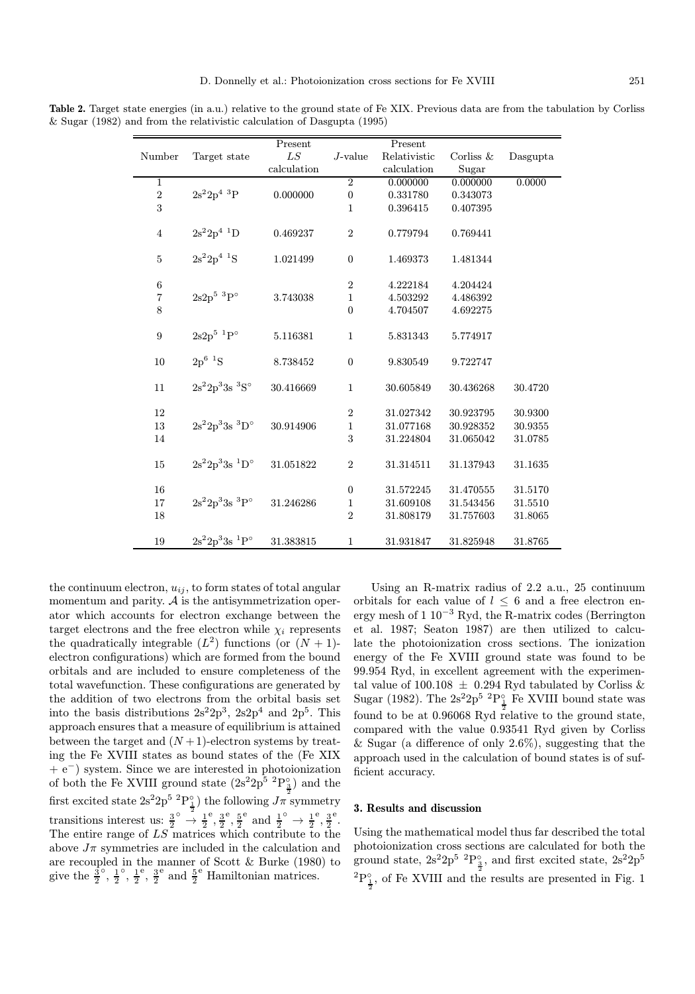|                |                                       | Present     |                  | Present      |              |          |
|----------------|---------------------------------------|-------------|------------------|--------------|--------------|----------|
| Number         | Target state                          | LS          | $J$ -value       | Relativistic | Corliss $\&$ | Dasgupta |
|                |                                       | calculation |                  | calculation  | Sugar        |          |
| $\,1$          |                                       |             | $\overline{2}$   | 0.000000     | 0.000000     | 0.0000   |
| $\sqrt{2}$     | $2s^22p^4~^3P$                        | 0.000000    | $\boldsymbol{0}$ | 0.331780     | 0.343073     |          |
| 3              |                                       |             | 1                | 0.396415     | 0.407395     |          |
| $\overline{4}$ | $2s^22p^4$ <sup>1</sup> D             | 0.469237    | $\sqrt{2}$       | 0.779794     | 0.769441     |          |
|                |                                       |             |                  |              |              |          |
| $\bf 5$        | $2s^22p^4$ <sup>1</sup> S             | 1.021499    | $\boldsymbol{0}$ | 1.469373     | 1.481344     |          |
| $\,6$          |                                       |             | $\overline{2}$   | 4.222184     | 4.204424     |          |
| $\overline{7}$ | $2s2p^5~^3P^{\circ}$                  | 3.743038    | $\mathbf{1}$     | 4.503292     | 4.486392     |          |
| 8              |                                       |             | $\boldsymbol{0}$ | 4.704507     | 4.692275     |          |
|                |                                       |             |                  |              |              |          |
| $\overline{9}$ | $2s2p^5~^1P^{\circ}$                  | 5.116381    | $\mathbf 1$      | 5.831343     | 5.774917     |          |
| 10             | $2p^6$ <sup>1</sup> S                 | 8.738452    | $\boldsymbol{0}$ | 9.830549     | 9.722747     |          |
| 11             | $2s^22p^33s$ ${}^3S^{\circ}$          | 30.416669   | $\mathbf{1}$     | 30.605849    | 30.436268    | 30.4720  |
| 12             |                                       |             | $\overline{2}$   | 31.027342    | 30.923795    | 30.9300  |
| 13             | $2s^22p^33s~^3D^{\circ}$              | 30.914906   | $\mathbf 1$      | 31.077168    | 30.928352    | 30.9355  |
| 14             |                                       |             | 3                | 31.224804    | 31.065042    | 31.0785  |
| $15\,$         | $2s^22p^33s$ <sup>1</sup> D°          | 31.051822   | $\sqrt{2}$       | 31.314511    | 31.137943    | 31.1635  |
| 16             |                                       |             | $\boldsymbol{0}$ | 31.572245    | 31.470555    | 31.5170  |
| 17             | $2s^22p^33s$ <sup>3</sup> $P^{\circ}$ | 31.246286   | $\mathbf 1$      | 31.609108    | 31.543456    | 31.5510  |
| 18             |                                       |             | $\sqrt{2}$       | 31.808179    | 31.757603    | 31.8065  |
| 19             | $2s^22p^33s$ <sup>1</sup> $P^{\circ}$ | 31.383815   | $\mathbf{1}$     | 31.931847    | 31.825948    | 31.8765  |

Table 2. Target state energies (in a.u.) relative to the ground state of Fe XIX. Previous data are from the tabulation by Corliss & Sugar (1982) and from the relativistic calculation of Dasgupta (1995)

the continuum electron,  $u_{ij}$ , to form states of total angular momentum and parity.  $A$  is the antisymmetrization operator which accounts for electron exchange between the target electrons and the free electron while  $\chi_i$  represents the quadratically integrable  $(L^2)$  functions (or  $(N + 1)$ electron configurations) which are formed from the bound orbitals and are included to ensure completeness of the total wavefunction. These configurations are generated by the addition of two electrons from the orbital basis set into the basis distributions  $2s^22p^3$ ,  $2s2p^4$  and  $2p^5$ . This approach ensures that a measure of equilibrium is attained between the target and  $(N+1)$ -electron systems by treating the Fe XVIII states as bound states of the (Fe XIX + e<sup>−</sup>) system. Since we are interested in photoionization of both the Fe XVIII ground state  $(2s^22p^5~^2P_3^{\circ})$  and the first excited state  $2s^2 2p^5 \frac{2p_0}{\frac{1}{2}}$  the following  $J\pi$  symmetry transitions interest us:  $\frac{3}{2}^{\circ} \rightarrow \frac{1}{2}$  $^{\circ}$ ,  $\frac{3}{2}$ <sup>e</sup>,  $\frac{5}{2}$ <sup>e</sup> and  $\frac{1}{2}$ <sup>o</sup>  $\rightarrow \frac{1}{2}$  $^{\circ}$ ,  $\frac{3}{2}$ e . The entire range of LS matrices which contribute to the above  $J\pi$  symmetries are included in the calculation and are recoupled in the manner of Scott & Burke (1980) to give the  $\frac{3}{2}$  $\frac{1}{2}$  $\frac{1}{2}$ <sup>e</sup>,  $\frac{3}{2}$ <sup>e</sup> and  $\frac{5}{2}$ <sup>e</sup> Hamiltonian matrices.

Using an R-matrix radius of 2.2 a.u., 25 continuum orbitals for each value of  $l \leq 6$  and a free electron energy mesh of 1 10<sup>−</sup><sup>3</sup> Ryd, the R-matrix codes (Berrington et al. 1987; Seaton 1987) are then utilized to calculate the photoionization cross sections. The ionization energy of the Fe XVIII ground state was found to be 99.954 Ryd, in excellent agreement with the experimental value of 100.108  $\pm$  0.294 Ryd tabulated by Corliss & Sugar (1982). The  $2s^22p^5$  <sup>2</sup>P<sup>°</sup>/<sub>2</sub> Fe XVIII bound state was found to be at 0.96068 Ryd relative to the ground state, compared with the value 0.93541 Ryd given by Corliss & Sugar (a difference of only  $2.6\%$ ), suggesting that the approach used in the calculation of bound states is of sufficient accuracy.

### 3. Results and discussion

Using the mathematical model thus far described the total photoionization cross sections are calculated for both the ground state,  $2s^2 2p^5$   ${}^{2}P_{\frac{3}{2}}$ , and first excited state,  $2s^2 2p^5$  ${}^{2}P^{\circ}_{\frac{1}{2}}$ , of Fe XVIII and the results are presented in Fig. 1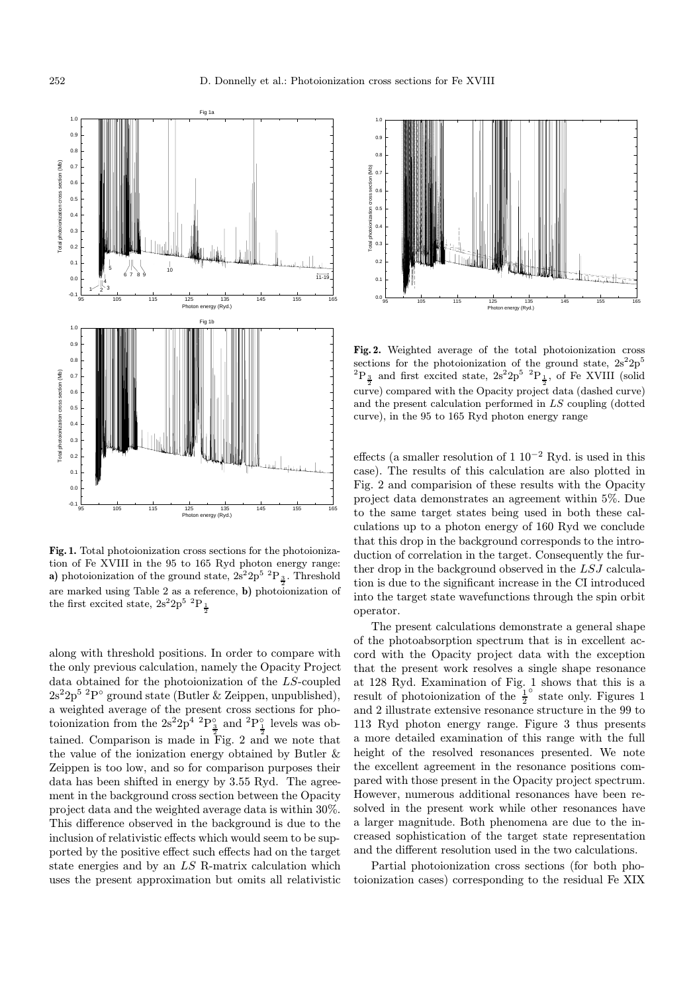

Fig. 1. Total photoionization cross sections for the photoionization of Fe XVIII in the 95 to 165 Ryd photon energy range: a) photoionization of the ground state,  $2s^2 2p^5$   ${}^{2}P_{\frac{3}{2}}$ . Threshold are marked using Table 2 as a reference, b) photoionization of the first excited state,  $2s^2 2p^5~^2P_{\frac{1}{2}}$ 

along with threshold positions. In order to compare with the only previous calculation, namely the Opacity Project data obtained for the photoionization of the LS-coupled  $2s^22p^5$  <sup>2</sup>P° ground state (Butler & Zeippen, unpublished), a weighted average of the present cross sections for photoionization from the  $2s^22p^4$  <sup>2</sup> $P_3^{\circ}$  and <sup>2</sup> $P_1^{\circ}$  levels was obtained. Comparison is made in Fig. 2 and we note that the value of the ionization energy obtained by Butler & Zeippen is too low, and so for comparison purposes their data has been shifted in energy by 3.55 Ryd. The agreement in the background cross section between the Opacity project data and the weighted average data is within 30%. This difference observed in the background is due to the inclusion of relativistic effects which would seem to be supported by the positive effect such effects had on the target state energies and by an LS R-matrix calculation which uses the present approximation but omits all relativistic



Fig. 2. Weighted average of the total photoionization cross sections for the photoionization of the ground state,  $2s^2 2p^5$  ${}^{2}P_{\frac{3}{2}}$  and first excited state,  $2s^{2}2p^{5} {}^{2}P_{\frac{1}{2}}$ , of Fe XVIII (solid curve) compared with the Opacity project data (dashed curve) and the present calculation performed in LS coupling (dotted curve), in the 95 to 165 Ryd photon energy range

effects (a smaller resolution of  $1 \, 10^{-2}$  Ryd. is used in this case). The results of this calculation are also plotted in Fig. 2 and comparision of these results with the Opacity project data demonstrates an agreement within 5%. Due to the same target states being used in both these calculations up to a photon energy of 160 Ryd we conclude that this drop in the background corresponds to the introduction of correlation in the target. Consequently the further drop in the background observed in the LSJ calculation is due to the significant increase in the CI introduced into the target state wavefunctions through the spin orbit operator.

The present calculations demonstrate a general shape of the photoabsorption spectrum that is in excellent accord with the Opacity project data with the exception that the present work resolves a single shape resonance at 128 Ryd. Examination of Fig. 1 shows that this is a result of photoionization of the  $\frac{1}{2}^{\circ}$  state only. Figures 1 and 2 illustrate extensive resonance structure in the 99 to 113 Ryd photon energy range. Figure 3 thus presents a more detailed examination of this range with the full height of the resolved resonances presented. We note the excellent agreement in the resonance positions compared with those present in the Opacity project spectrum. However, numerous additional resonances have been resolved in the present work while other resonances have a larger magnitude. Both phenomena are due to the increased sophistication of the target state representation and the different resolution used in the two calculations.

Partial photoionization cross sections (for both photoionization cases) corresponding to the residual Fe XIX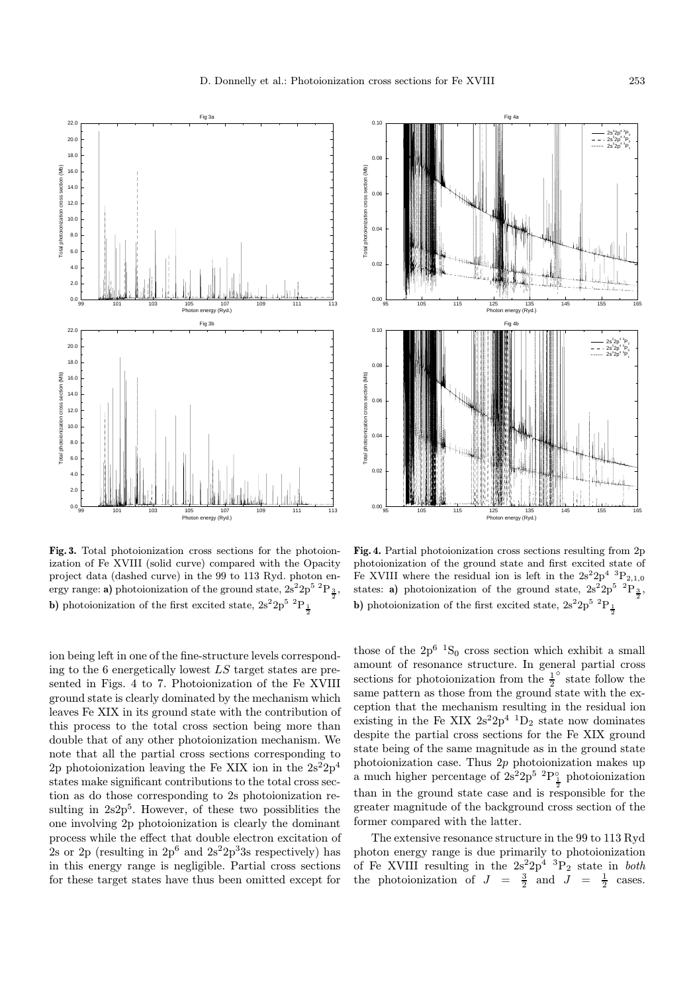



ion being left in one of the fine-structure levels corresponding to the 6 energetically lowest LS target states are presented in Figs. 4 to 7. Photoionization of the Fe XVIII ground state is clearly dominated by the mechanism which leaves Fe XIX in its ground state with the contribution of this process to the total cross section being more than double that of any other photoionization mechanism. We note that all the partial cross sections corresponding to 2p photoionization leaving the Fe XIX ion in the  $2s^22p^4$ states make significant contributions to the total cross section as do those corresponding to 2s photoionization resulting in  $2s2p<sup>5</sup>$ . However, of these two possiblities the one involving 2p photoionization is clearly the dominant process while the effect that double electron excitation of 2s or 2p (resulting in  $2p^6$  and  $2s^22p^33s$  respectively) has in this energy range is negligible. Partial cross sections for these target states have thus been omitted except for



Fig. 4. Partial photoionization cross sections resulting from 2p photoionization of the ground state and first excited state of Fe XVIII where the residual ion is left in the  $2s^22p^4~^3P_{2,1,0}$ states: **a**) photoionization of the ground state,  $2s^2 2p^5$   $P_{\frac{3}{2}}$ , **b**) photoionization of the first excited state,  $2s^2 2p^5 \frac{p_1}{2}$ 

those of the  $2p^6$  <sup>1</sup>S<sub>0</sub> cross section which exhibit a small amount of resonance structure. In general partial cross sections for photoionization from the  $\frac{1}{2}^{\circ}$  state follow the same pattern as those from the ground state with the exception that the mechanism resulting in the residual ion existing in the Fe XIX  $2s^22p^4$  <sup>1</sup>D<sub>2</sub> state now dominates despite the partial cross sections for the Fe XIX ground state being of the same magnitude as in the ground state photoionization case. Thus 2p photoionization makes up a much higher percentage of  $2s^2 2p^5$   ${}^{2}P_1^{\circ}$  photoionization than in the ground state case and is responsible for the greater magnitude of the background cross section of the former compared with the latter.

The extensive resonance structure in the 99 to 113 Ryd photon energy range is due primarily to photoionization of Fe XVIII resulting in the  $2s^22p^4$  <sup>3</sup>P<sub>2</sub> state in *both* the photoionization of  $J = \frac{3}{2}$  and  $J = \frac{1}{2}$  cases.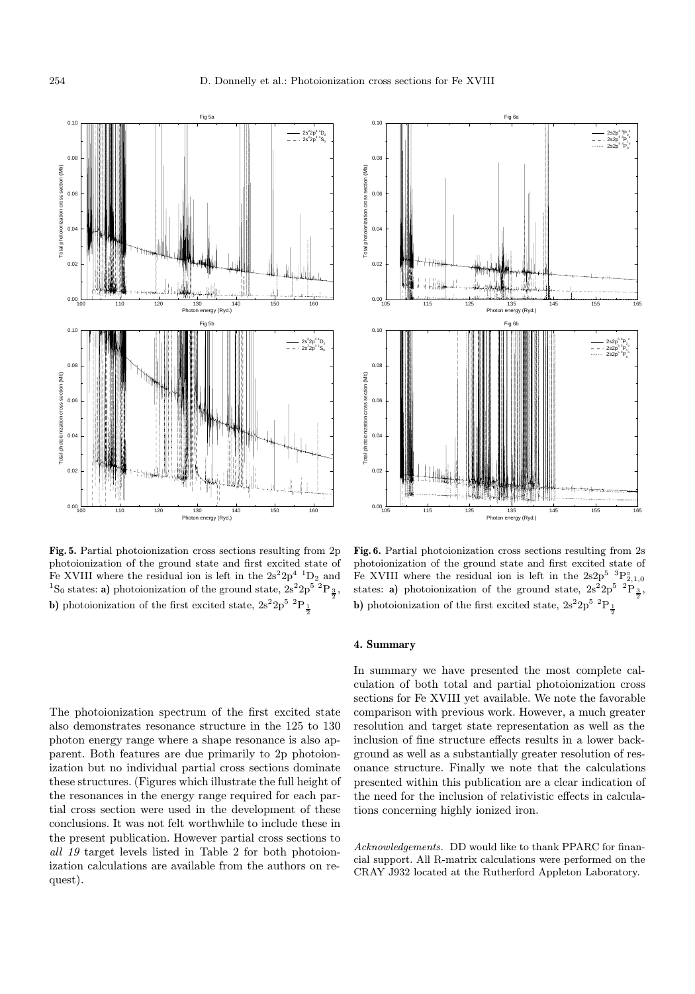

Fig. 5. Partial photoionization cross sections resulting from 2p photoionization of the ground state and first excited state of Fe XVIII where the residual ion is left in the  $2s^22p^4$   $^1D_2$  and <sup>1</sup>S<sub>0</sub> states: **a**) photoionization of the ground state,  $2s^2 2p^5$ <sup>2</sup>P<sub> $\frac{3}{2}$ </sub>, **b**) photoionization of the first excited state,  $2s^2 2p^5 \frac{p_1}{2}$ 

The photoionization spectrum of the first excited state also demonstrates resonance structure in the 125 to 130 photon energy range where a shape resonance is also apparent. Both features are due primarily to 2p photoionization but no individual partial cross sections dominate these structures. (Figures which illustrate the full height of the resonances in the energy range required for each partial cross section were used in the development of these conclusions. It was not felt worthwhile to include these in the present publication. However partial cross sections to all 19 target levels listed in Table 2 for both photoionization calculations are available from the authors on request).



Fig. 6. Partial photoionization cross sections resulting from 2s photoionization of the ground state and first excited state of Fe XVIII where the residual ion is left in the  $2s2p^5~^3P^{\circ}_{2,1,0}$ states: **a**) photoionization of the ground state,  $2s^2 2p^5 \frac{p_3}{2}$ , **b**) photoionization of the first excited state,  $2s^2 2p^5 \frac{p_1}{2}$ 

## 4. Summary

In summary we have presented the most complete calculation of both total and partial photoionization cross sections for Fe XVIII yet available. We note the favorable comparison with previous work. However, a much greater resolution and target state representation as well as the inclusion of fine structure effects results in a lower background as well as a substantially greater resolution of resonance structure. Finally we note that the calculations presented within this publication are a clear indication of the need for the inclusion of relativistic effects in calculations concerning highly ionized iron.

Acknowledgements. DD would like to thank PPARC for financial support. All R-matrix calculations were performed on the CRAY J932 located at the Rutherford Appleton Laboratory.